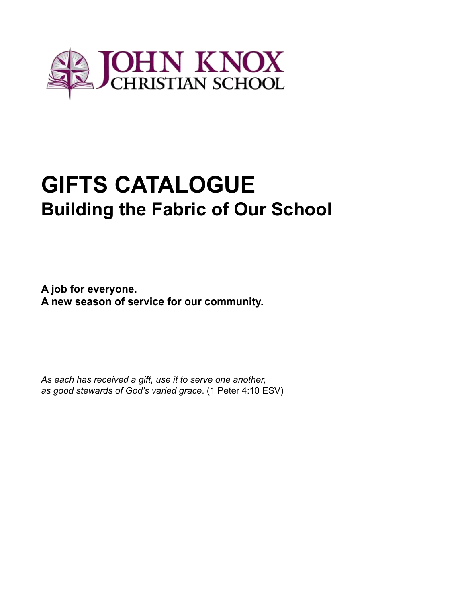

# **GIFTS CATALOGUE Building the Fabric of Our School**

**A job for everyone. A new season of service for our community.**

*As each has received a gift, use it to serve one another, as good stewards of God's varied grace*. (1 Peter 4:10 ESV)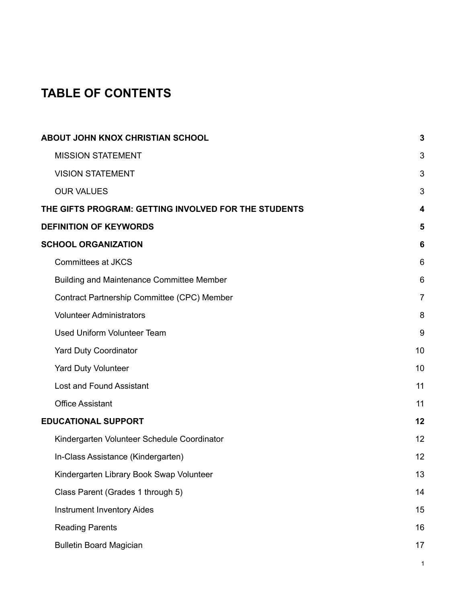# **TABLE OF CONTENTS**

| <b>ABOUT JOHN KNOX CHRISTIAN SCHOOL</b>              | 3              |
|------------------------------------------------------|----------------|
| <b>MISSION STATEMENT</b>                             | 3              |
| <b>VISION STATEMENT</b>                              | 3              |
| <b>OUR VALUES</b>                                    | 3              |
| THE GIFTS PROGRAM: GETTING INVOLVED FOR THE STUDENTS | 4              |
| <b>DEFINITION OF KEYWORDS</b>                        | 5              |
| <b>SCHOOL ORGANIZATION</b>                           | 6              |
| <b>Committees at JKCS</b>                            | 6              |
| <b>Building and Maintenance Committee Member</b>     | 6              |
| Contract Partnership Committee (CPC) Member          | $\overline{7}$ |
| <b>Volunteer Administrators</b>                      | 8              |
| <b>Used Uniform Volunteer Team</b>                   | $9\,$          |
| <b>Yard Duty Coordinator</b>                         | 10             |
| <b>Yard Duty Volunteer</b>                           | 10             |
| Lost and Found Assistant                             | 11             |
| <b>Office Assistant</b>                              | 11             |
| <b>EDUCATIONAL SUPPORT</b>                           | 12             |
| Kindergarten Volunteer Schedule Coordinator          | 12             |
| In-Class Assistance (Kindergarten)                   | 12             |
| Kindergarten Library Book Swap Volunteer             | 13             |
| Class Parent (Grades 1 through 5)                    | 14             |
| <b>Instrument Inventory Aides</b>                    | 15             |
| <b>Reading Parents</b>                               | 16             |
| <b>Bulletin Board Magician</b>                       | 17             |
|                                                      | 1              |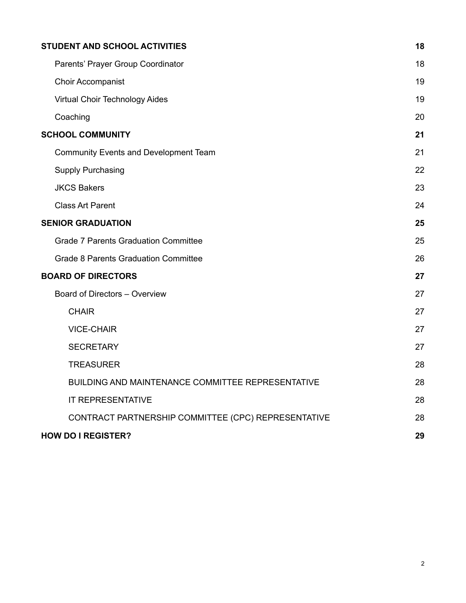| STUDENT AND SCHOOL ACTIVITIES                       | 18 |
|-----------------------------------------------------|----|
| Parents' Prayer Group Coordinator                   | 18 |
| <b>Choir Accompanist</b>                            | 19 |
| Virtual Choir Technology Aides                      | 19 |
| Coaching                                            | 20 |
| <b>SCHOOL COMMUNITY</b>                             | 21 |
| <b>Community Events and Development Team</b>        | 21 |
| <b>Supply Purchasing</b>                            | 22 |
| <b>JKCS Bakers</b>                                  | 23 |
| <b>Class Art Parent</b>                             | 24 |
| <b>SENIOR GRADUATION</b>                            | 25 |
| <b>Grade 7 Parents Graduation Committee</b>         | 25 |
| <b>Grade 8 Parents Graduation Committee</b>         | 26 |
| <b>BOARD OF DIRECTORS</b>                           | 27 |
| Board of Directors - Overview                       | 27 |
| <b>CHAIR</b>                                        | 27 |
| <b>VICE-CHAIR</b>                                   | 27 |
| <b>SECRETARY</b>                                    | 27 |
| <b>TREASURER</b>                                    | 28 |
| BUILDING AND MAINTENANCE COMMITTEE REPRESENTATIVE   | 28 |
| <b>IT REPRESENTATIVE</b>                            | 28 |
| CONTRACT PARTNERSHIP COMMITTEE (CPC) REPRESENTATIVE | 28 |
| <b>HOW DO I REGISTER?</b>                           | 29 |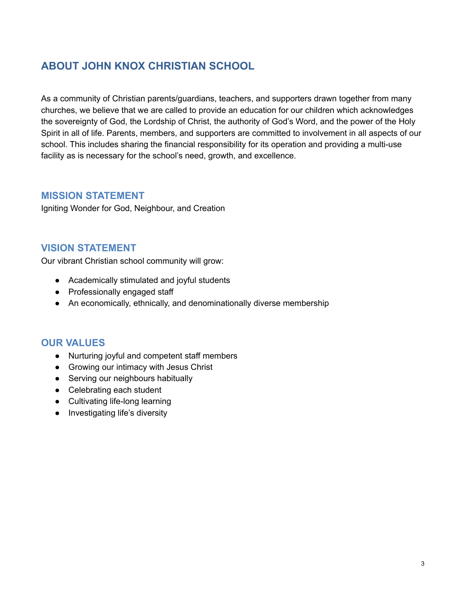# <span id="page-3-0"></span>**ABOUT JOHN KNOX CHRISTIAN SCHOOL**

As a community of Christian parents/guardians, teachers, and supporters drawn together from many churches, we believe that we are called to provide an education for our children which acknowledges the sovereignty of God, the Lordship of Christ, the authority of God's Word, and the power of the Holy Spirit in all of life. Parents, members, and supporters are committed to involvement in all aspects of our school. This includes sharing the financial responsibility for its operation and providing a multi-use facility as is necessary for the school's need, growth, and excellence.

### <span id="page-3-1"></span>**MISSION STATEMENT**

Igniting Wonder for God, Neighbour, and Creation

### <span id="page-3-2"></span>**VISION STATEMENT**

Our vibrant Christian school community will grow:

- Academically stimulated and joyful students
- Professionally engaged staff
- An economically, ethnically, and denominationally diverse membership

### <span id="page-3-3"></span>**OUR VALUES**

- Nurturing joyful and competent staff members
- Growing our intimacy with Jesus Christ
- Serving our neighbours habitually
- Celebrating each student
- Cultivating life-long learning
- Investigating life's diversity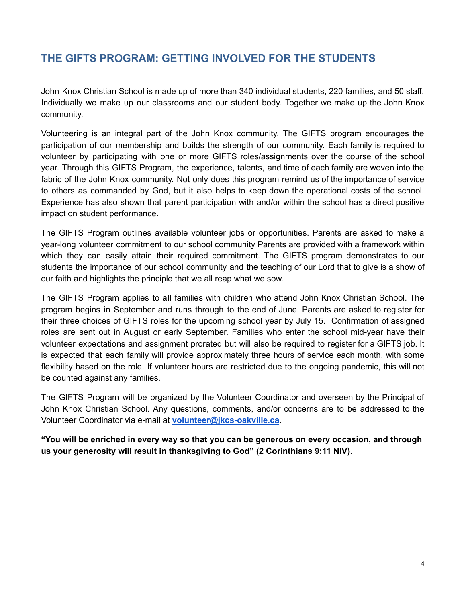# <span id="page-4-0"></span>**THE GIFTS PROGRAM: GETTING INVOLVED FOR THE STUDENTS**

John Knox Christian School is made up of more than 340 individual students, 220 families, and 50 staff. Individually we make up our classrooms and our student body. Together we make up the John Knox community.

Volunteering is an integral part of the John Knox community. The GIFTS program encourages the participation of our membership and builds the strength of our community. Each family is required to volunteer by participating with one or more GIFTS roles/assignments over the course of the school year. Through this GIFTS Program, the experience, talents, and time of each family are woven into the fabric of the John Knox community. Not only does this program remind us of the importance of service to others as commanded by God, but it also helps to keep down the operational costs of the school. Experience has also shown that parent participation with and/or within the school has a direct positive impact on student performance.

The GIFTS Program outlines available volunteer jobs or opportunities. Parents are asked to make a year-long volunteer commitment to our school community Parents are provided with a framework within which they can easily attain their required commitment. The GIFTS program demonstrates to our students the importance of our school community and the teaching of our Lord that to give is a show of our faith and highlights the principle that we all reap what we sow.

The GIFTS Program applies to **all** families with children who attend John Knox Christian School. The program begins in September and runs through to the end of June. Parents are asked to register for their three choices of GIFTS roles for the upcoming school year by July 15. Confirmation of assigned roles are sent out in August or early September. Families who enter the school mid-year have their volunteer expectations and assignment prorated but will also be required to register for a GIFTS job. It is expected that each family will provide approximately three hours of service each month, with some flexibility based on the role. If volunteer hours are restricted due to the ongoing pandemic, this will not be counted against any families.

The GIFTS Program will be organized by the Volunteer Coordinator and overseen by the Principal of John Knox Christian School. Any questions, comments, and/or concerns are to be addressed to the Volunteer Coordinator via e-mail at **[volunteer@jkcs-oakville.ca](mailto:volunteer@jkcs-oakville.ca).**

**"You will be enriched in every way so that you can be generous on every occasion, and through us your generosity will result in thanksgiving to God" (2 Corinthians 9:11 NIV).**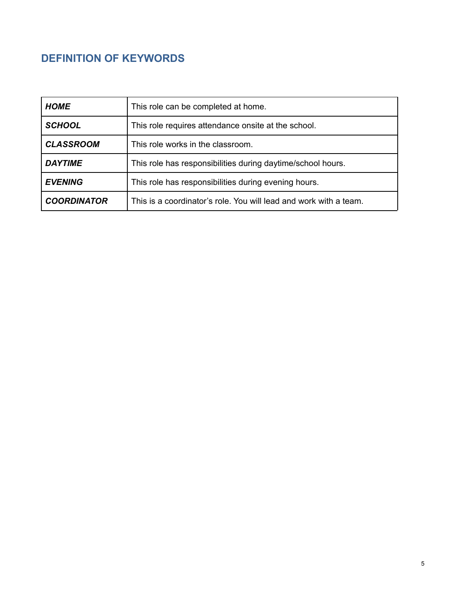# <span id="page-5-0"></span>**DEFINITION OF KEYWORDS**

| <b>HOME</b>        | This role can be completed at home.                               |
|--------------------|-------------------------------------------------------------------|
| <b>SCHOOL</b>      | This role requires attendance onsite at the school.               |
| <b>CLASSROOM</b>   | This role works in the classroom.                                 |
| <b>DAYTIME</b>     | This role has responsibilities during daytime/school hours.       |
| <b>EVENING</b>     | This role has responsibilities during evening hours.              |
| <b>COORDINATOR</b> | This is a coordinator's role. You will lead and work with a team. |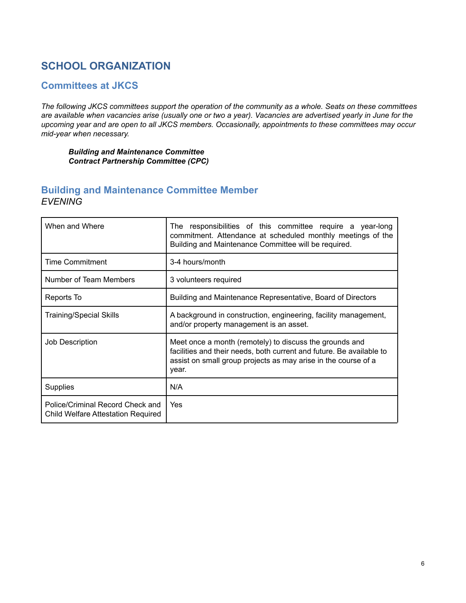# <span id="page-6-0"></span>**SCHOOL ORGANIZATION**

### <span id="page-6-1"></span>**Committees at JKCS**

The following JKCS committees support the operation of the community as a whole. Seats on these committees are available when vacancies arise (usually one or two a year). Vacancies are advertised yearly in June for the *upcoming year and are open to all JKCS members. Occasionally, appointments to these committees may occur mid-year when necessary.*

### *Building and Maintenance Committee Contract Partnership Committee (CPC)*

### <span id="page-6-2"></span>**Building and Maintenance Committee Member** *EVENING*

| When and Where                                                                | The responsibilities of this committee require a year-long<br>commitment. Attendance at scheduled monthly meetings of the<br>Building and Maintenance Committee will be required.                          |
|-------------------------------------------------------------------------------|------------------------------------------------------------------------------------------------------------------------------------------------------------------------------------------------------------|
| <b>Time Commitment</b>                                                        | 3-4 hours/month                                                                                                                                                                                            |
| Number of Team Members                                                        | 3 volunteers required                                                                                                                                                                                      |
| Reports To                                                                    | Building and Maintenance Representative, Board of Directors                                                                                                                                                |
| <b>Training/Special Skills</b>                                                | A background in construction, engineering, facility management,<br>and/or property management is an asset.                                                                                                 |
| Job Description                                                               | Meet once a month (remotely) to discuss the grounds and<br>facilities and their needs, both current and future. Be available to<br>assist on small group projects as may arise in the course of a<br>year. |
| <b>Supplies</b>                                                               | N/A                                                                                                                                                                                                        |
| Police/Criminal Record Check and<br><b>Child Welfare Attestation Required</b> | Yes                                                                                                                                                                                                        |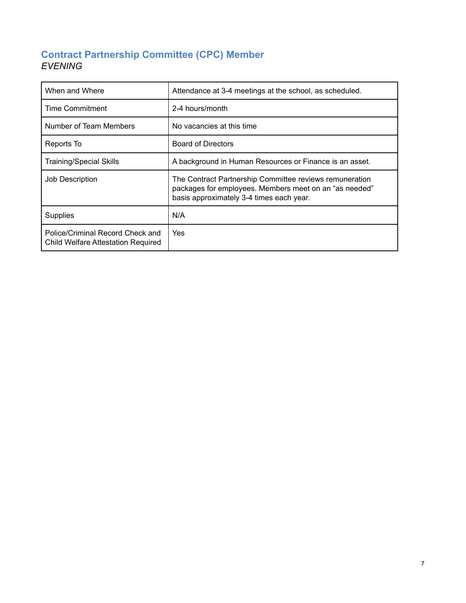### <span id="page-7-0"></span>**Contract Partnership Committee (CPC) Member** *EVENING*

| When and Where                                                                | Attendance at 3-4 meetings at the school, as scheduled.                                                                                                       |
|-------------------------------------------------------------------------------|---------------------------------------------------------------------------------------------------------------------------------------------------------------|
| Time Commitment                                                               | 2-4 hours/month                                                                                                                                               |
| Number of Team Members                                                        | No vacancies at this time                                                                                                                                     |
| Reports To                                                                    | <b>Board of Directors</b>                                                                                                                                     |
| <b>Training/Special Skills</b>                                                | A background in Human Resources or Finance is an asset.                                                                                                       |
| <b>Job Description</b>                                                        | The Contract Partnership Committee reviews remuneration<br>packages for employees. Members meet on an "as needed"<br>basis approximately 3-4 times each year. |
| <b>Supplies</b>                                                               | N/A                                                                                                                                                           |
| Police/Criminal Record Check and<br><b>Child Welfare Attestation Required</b> | Yes                                                                                                                                                           |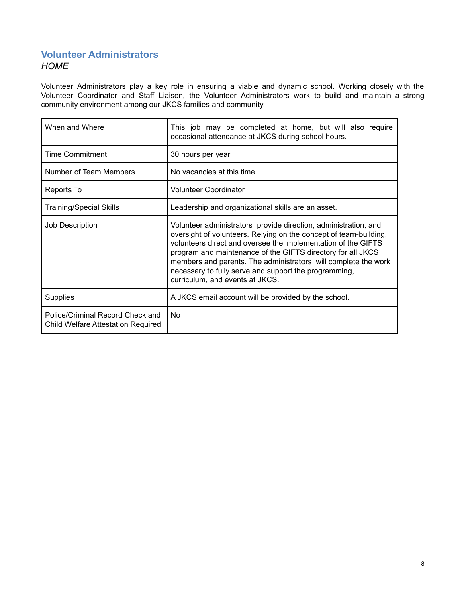### <span id="page-8-0"></span>**Volunteer Administrators** *HOME*

Volunteer Administrators play a key role in ensuring a viable and dynamic school. Working closely with the Volunteer Coordinator and Staff Liaison, the Volunteer Administrators work to build and maintain a strong community environment among our JKCS families and community.

| When and Where                                                                | This job may be completed at home, but will also require<br>occasional attendance at JKCS during school hours.                                                                                                                                                                                                                                                                                                                     |
|-------------------------------------------------------------------------------|------------------------------------------------------------------------------------------------------------------------------------------------------------------------------------------------------------------------------------------------------------------------------------------------------------------------------------------------------------------------------------------------------------------------------------|
| <b>Time Commitment</b>                                                        | 30 hours per year                                                                                                                                                                                                                                                                                                                                                                                                                  |
| Number of Team Members                                                        | No vacancies at this time                                                                                                                                                                                                                                                                                                                                                                                                          |
| Reports To                                                                    | Volunteer Coordinator                                                                                                                                                                                                                                                                                                                                                                                                              |
| <b>Training/Special Skills</b>                                                | Leadership and organizational skills are an asset.                                                                                                                                                                                                                                                                                                                                                                                 |
| Job Description                                                               | Volunteer administrators provide direction, administration, and<br>oversight of volunteers. Relying on the concept of team-building,<br>volunteers direct and oversee the implementation of the GIFTS<br>program and maintenance of the GIFTS directory for all JKCS<br>members and parents. The administrators will complete the work<br>necessary to fully serve and support the programming,<br>curriculum, and events at JKCS. |
| Supplies                                                                      | A JKCS email account will be provided by the school.                                                                                                                                                                                                                                                                                                                                                                               |
| Police/Criminal Record Check and<br><b>Child Welfare Attestation Required</b> | No                                                                                                                                                                                                                                                                                                                                                                                                                                 |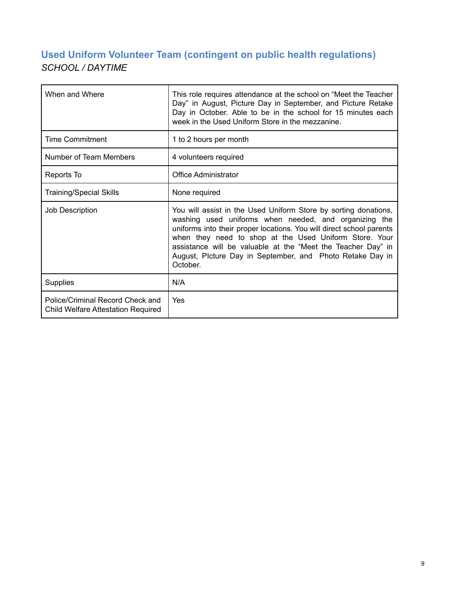# <span id="page-9-0"></span>**Used Uniform Volunteer Team (contingent on public health regulations)** *SCHOOL / DAYTIME*

| When and Where                                                                | This role requires attendance at the school on "Meet the Teacher<br>Day" in August, Picture Day in September, and Picture Retake<br>Day in October. Able to be in the school for 15 minutes each<br>week in the Used Uniform Store in the mezzanine.                                                                                                                                                |
|-------------------------------------------------------------------------------|-----------------------------------------------------------------------------------------------------------------------------------------------------------------------------------------------------------------------------------------------------------------------------------------------------------------------------------------------------------------------------------------------------|
| <b>Time Commitment</b>                                                        | 1 to 2 hours per month                                                                                                                                                                                                                                                                                                                                                                              |
| Number of Team Members                                                        | 4 volunteers required                                                                                                                                                                                                                                                                                                                                                                               |
| Reports To                                                                    | <b>Office Administrator</b>                                                                                                                                                                                                                                                                                                                                                                         |
| <b>Training/Special Skills</b>                                                | None required                                                                                                                                                                                                                                                                                                                                                                                       |
| Job Description                                                               | You will assist in the Used Uniform Store by sorting donations,<br>washing used uniforms when needed, and organizing the<br>uniforms into their proper locations. You will direct school parents<br>when they need to shop at the Used Uniform Store. Your<br>assistance will be valuable at the "Meet the Teacher Day" in<br>August, Plcture Day in September, and Photo Retake Day in<br>October. |
| <b>Supplies</b>                                                               | N/A                                                                                                                                                                                                                                                                                                                                                                                                 |
| Police/Criminal Record Check and<br><b>Child Welfare Attestation Required</b> | Yes                                                                                                                                                                                                                                                                                                                                                                                                 |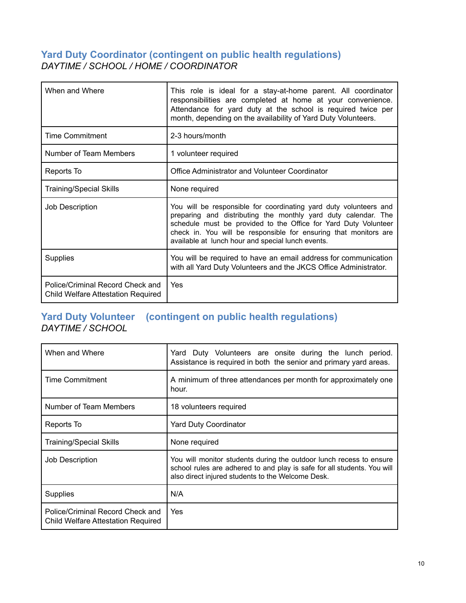### <span id="page-10-0"></span>**Yard Duty Coordinator (contingent on public health regulations)** *DAYTIME / SCHOOL / HOME / COORDINATOR*

| When and Where                                                         | This role is ideal for a stay-at-home parent. All coordinator<br>responsibilities are completed at home at your convenience.<br>Attendance for yard duty at the school is required twice per<br>month, depending on the availability of Yard Duty Volunteers.                                                                   |
|------------------------------------------------------------------------|---------------------------------------------------------------------------------------------------------------------------------------------------------------------------------------------------------------------------------------------------------------------------------------------------------------------------------|
| <b>Time Commitment</b>                                                 | 2-3 hours/month                                                                                                                                                                                                                                                                                                                 |
| Number of Team Members                                                 | 1 volunteer required                                                                                                                                                                                                                                                                                                            |
| Reports To                                                             | Office Administrator and Volunteer Coordinator                                                                                                                                                                                                                                                                                  |
| <b>Training/Special Skills</b>                                         | None required                                                                                                                                                                                                                                                                                                                   |
| Job Description                                                        | You will be responsible for coordinating yard duty volunteers and<br>preparing and distributing the monthly yard duty calendar. The<br>schedule must be provided to the Office for Yard Duty Volunteer<br>check in. You will be responsible for ensuring that monitors are<br>available at lunch hour and special lunch events. |
| Supplies                                                               | You will be required to have an email address for communication<br>with all Yard Duty Volunteers and the JKCS Office Administrator.                                                                                                                                                                                             |
| Police/Criminal Record Check and<br>Child Welfare Attestation Required | Yes                                                                                                                                                                                                                                                                                                                             |

### <span id="page-10-1"></span>**Yard Duty Volunteer (contingent on public health regulations)** *DAYTIME / SCHOOL*

| When and Where                                                                | Yard Duty Volunteers are onsite during the lunch period.<br>Assistance is required in both the senior and primary yard areas.                                                                       |
|-------------------------------------------------------------------------------|-----------------------------------------------------------------------------------------------------------------------------------------------------------------------------------------------------|
| Time Commitment                                                               | A minimum of three attendances per month for approximately one<br>hour.                                                                                                                             |
| Number of Team Members                                                        | 18 volunteers required                                                                                                                                                                              |
| Reports To                                                                    | <b>Yard Duty Coordinator</b>                                                                                                                                                                        |
| Training/Special Skills                                                       | None required                                                                                                                                                                                       |
| Job Description                                                               | You will monitor students during the outdoor lunch recess to ensure<br>school rules are adhered to and play is safe for all students. You will<br>also direct injured students to the Welcome Desk. |
| Supplies                                                                      | N/A                                                                                                                                                                                                 |
| Police/Criminal Record Check and<br><b>Child Welfare Attestation Required</b> | Yes                                                                                                                                                                                                 |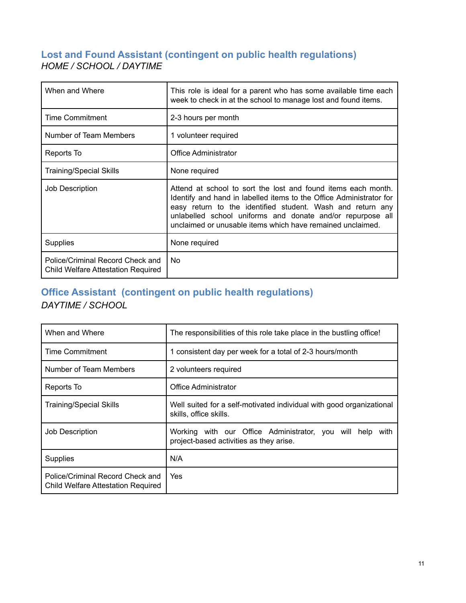### <span id="page-11-0"></span>**Lost and Found Assistant (contingent on public health regulations)** *HOME / SCHOOL / DAYTIME*

| When and Where                                                         | This role is ideal for a parent who has some available time each<br>week to check in at the school to manage lost and found items.                                                                                                                                                                                             |
|------------------------------------------------------------------------|--------------------------------------------------------------------------------------------------------------------------------------------------------------------------------------------------------------------------------------------------------------------------------------------------------------------------------|
| <b>Time Commitment</b>                                                 | 2-3 hours per month                                                                                                                                                                                                                                                                                                            |
| Number of Team Members                                                 | 1 volunteer required                                                                                                                                                                                                                                                                                                           |
| Reports To                                                             | Office Administrator                                                                                                                                                                                                                                                                                                           |
| <b>Training/Special Skills</b>                                         | None required                                                                                                                                                                                                                                                                                                                  |
| Job Description                                                        | Attend at school to sort the lost and found items each month.<br>Identify and hand in labelled items to the Office Administrator for<br>easy return to the identified student. Wash and return any<br>unlabelled school uniforms and donate and/or repurpose all<br>unclaimed or unusable items which have remained unclaimed. |
| <b>Supplies</b>                                                        | None required                                                                                                                                                                                                                                                                                                                  |
| Police/Criminal Record Check and<br>Child Welfare Attestation Required | No.                                                                                                                                                                                                                                                                                                                            |

## <span id="page-11-1"></span>**Office Assistant (contingent on public health regulations)** *DAYTIME / SCHOOL*

| When and Where                                                                | The responsibilities of this role take place in the bustling office!                                    |
|-------------------------------------------------------------------------------|---------------------------------------------------------------------------------------------------------|
| <b>Time Commitment</b>                                                        | consistent day per week for a total of 2-3 hours/month                                                  |
| Number of Team Members                                                        | 2 volunteers required                                                                                   |
| Reports To                                                                    | Office Administrator                                                                                    |
| <b>Training/Special Skills</b>                                                | Well suited for a self-motivated individual with good organizational<br>skills, office skills.          |
| Job Description                                                               | Working with our Office Administrator, you will help<br>with<br>project-based activities as they arise. |
| <b>Supplies</b>                                                               | N/A                                                                                                     |
| Police/Criminal Record Check and<br><b>Child Welfare Attestation Required</b> | Yes                                                                                                     |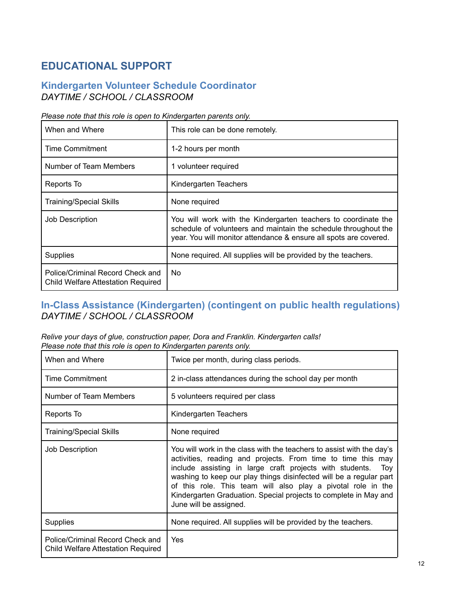# <span id="page-12-0"></span>**EDUCATIONAL SUPPORT**

### <span id="page-12-1"></span>**Kindergarten Volunteer Schedule Coordinator** *DAYTIME / SCHOOL / CLASSROOM*

| Please note that this role is open to Kindergarten parents only. |
|------------------------------------------------------------------|
|------------------------------------------------------------------|

| When and Where                                                                | This role can be done remotely.                                                                                                                                                                        |
|-------------------------------------------------------------------------------|--------------------------------------------------------------------------------------------------------------------------------------------------------------------------------------------------------|
| <b>Time Commitment</b>                                                        | 1-2 hours per month                                                                                                                                                                                    |
| Number of Team Members                                                        | 1 volunteer required                                                                                                                                                                                   |
| Reports To                                                                    | Kindergarten Teachers                                                                                                                                                                                  |
| <b>Training/Special Skills</b>                                                | None required                                                                                                                                                                                          |
| Job Description                                                               | You will work with the Kindergarten teachers to coordinate the<br>schedule of volunteers and maintain the schedule throughout the<br>year. You will monitor attendance & ensure all spots are covered. |
| <b>Supplies</b>                                                               | None required. All supplies will be provided by the teachers.                                                                                                                                          |
| Police/Criminal Record Check and<br><b>Child Welfare Attestation Required</b> | No.                                                                                                                                                                                                    |

### <span id="page-12-2"></span>**In-Class Assistance (Kindergarten) (contingent on public health regulations)** *DAYTIME / SCHOOL / CLASSROOM*

*Relive your days of glue, construction paper, Dora and Franklin. Kindergarten calls! Please note that this role is open to Kindergarten parents only.*

| When and Where                                                         | Twice per month, during class periods.                                                                                                                                                                                                                                                                                                                                                                                                       |
|------------------------------------------------------------------------|----------------------------------------------------------------------------------------------------------------------------------------------------------------------------------------------------------------------------------------------------------------------------------------------------------------------------------------------------------------------------------------------------------------------------------------------|
| <b>Time Commitment</b>                                                 | 2 in-class attendances during the school day per month                                                                                                                                                                                                                                                                                                                                                                                       |
| Number of Team Members                                                 | 5 volunteers required per class                                                                                                                                                                                                                                                                                                                                                                                                              |
| Reports To                                                             | Kindergarten Teachers                                                                                                                                                                                                                                                                                                                                                                                                                        |
| <b>Training/Special Skills</b>                                         | None required                                                                                                                                                                                                                                                                                                                                                                                                                                |
| Job Description                                                        | You will work in the class with the teachers to assist with the day's<br>activities, reading and projects. From time to time this may<br>include assisting in large craft projects with students.<br>Toy<br>washing to keep our play things disinfected will be a regular part<br>of this role. This team will also play a pivotal role in the<br>Kindergarten Graduation. Special projects to complete in May and<br>June will be assigned. |
| <b>Supplies</b>                                                        | None required. All supplies will be provided by the teachers.                                                                                                                                                                                                                                                                                                                                                                                |
| Police/Criminal Record Check and<br>Child Welfare Attestation Required | Yes                                                                                                                                                                                                                                                                                                                                                                                                                                          |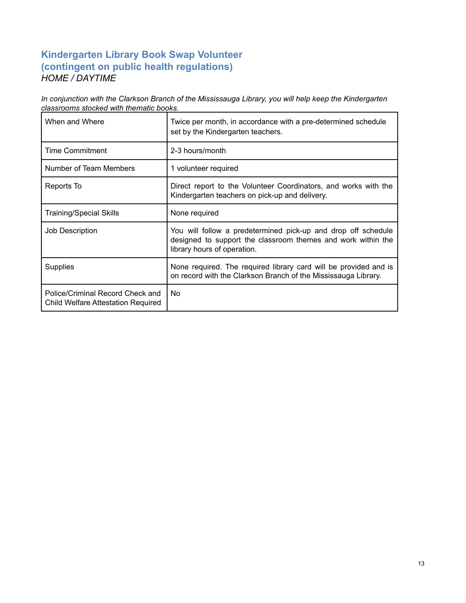### <span id="page-13-0"></span>**Kindergarten Library Book Swap Volunteer (contingent on public health regulations)** *HOME / DAYTIME*

*In conjunction with the Clarkson Branch of the Mississauga Library, you will help keep the Kindergarten classrooms stocked with thematic books.*

| When and Where                                                                | Twice per month, in accordance with a pre-determined schedule<br>set by the Kindergarten teachers.                                                           |
|-------------------------------------------------------------------------------|--------------------------------------------------------------------------------------------------------------------------------------------------------------|
| <b>Time Commitment</b>                                                        | 2-3 hours/month                                                                                                                                              |
| Number of Team Members                                                        | 1 volunteer required                                                                                                                                         |
| Reports To                                                                    | Direct report to the Volunteer Coordinators, and works with the<br>Kindergarten teachers on pick-up and delivery.                                            |
| <b>Training/Special Skills</b>                                                | None required                                                                                                                                                |
| Job Description                                                               | You will follow a predetermined pick-up and drop off schedule<br>designed to support the classroom themes and work within the<br>library hours of operation. |
| <b>Supplies</b>                                                               | None required. The required library card will be provided and is<br>on record with the Clarkson Branch of the Mississauga Library.                           |
| Police/Criminal Record Check and<br><b>Child Welfare Attestation Required</b> | No.                                                                                                                                                          |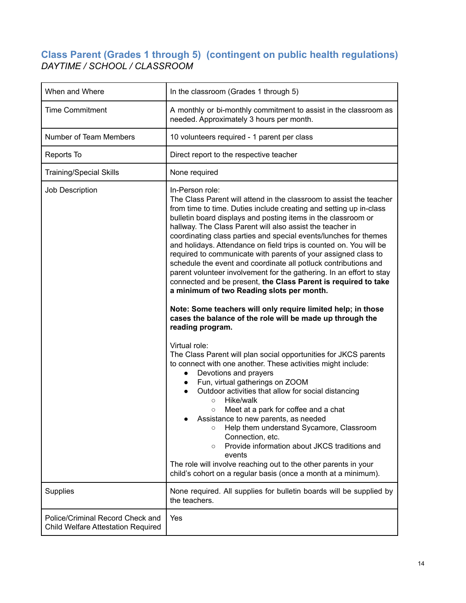### <span id="page-14-0"></span>**Class Parent (Grades 1 through 5) (contingent on public health regulations)** *DAYTIME / SCHOOL / CLASSROOM*

| When and Where                                                                | In the classroom (Grades 1 through 5)                                                                                                                                                                                                                                                                                                                                                                                                                                                                                                                                                                                                                                                                                                                                                                                                                                                                                                                                                                                                                                                                                                                                                                                                                                                                                                                                                                                                                                                                                                                                                                                               |
|-------------------------------------------------------------------------------|-------------------------------------------------------------------------------------------------------------------------------------------------------------------------------------------------------------------------------------------------------------------------------------------------------------------------------------------------------------------------------------------------------------------------------------------------------------------------------------------------------------------------------------------------------------------------------------------------------------------------------------------------------------------------------------------------------------------------------------------------------------------------------------------------------------------------------------------------------------------------------------------------------------------------------------------------------------------------------------------------------------------------------------------------------------------------------------------------------------------------------------------------------------------------------------------------------------------------------------------------------------------------------------------------------------------------------------------------------------------------------------------------------------------------------------------------------------------------------------------------------------------------------------------------------------------------------------------------------------------------------------|
| <b>Time Commitment</b>                                                        | A monthly or bi-monthly commitment to assist in the classroom as<br>needed. Approximately 3 hours per month.                                                                                                                                                                                                                                                                                                                                                                                                                                                                                                                                                                                                                                                                                                                                                                                                                                                                                                                                                                                                                                                                                                                                                                                                                                                                                                                                                                                                                                                                                                                        |
| Number of Team Members                                                        | 10 volunteers required - 1 parent per class                                                                                                                                                                                                                                                                                                                                                                                                                                                                                                                                                                                                                                                                                                                                                                                                                                                                                                                                                                                                                                                                                                                                                                                                                                                                                                                                                                                                                                                                                                                                                                                         |
| Reports To                                                                    | Direct report to the respective teacher                                                                                                                                                                                                                                                                                                                                                                                                                                                                                                                                                                                                                                                                                                                                                                                                                                                                                                                                                                                                                                                                                                                                                                                                                                                                                                                                                                                                                                                                                                                                                                                             |
| <b>Training/Special Skills</b>                                                | None required                                                                                                                                                                                                                                                                                                                                                                                                                                                                                                                                                                                                                                                                                                                                                                                                                                                                                                                                                                                                                                                                                                                                                                                                                                                                                                                                                                                                                                                                                                                                                                                                                       |
| Job Description                                                               | In-Person role:<br>The Class Parent will attend in the classroom to assist the teacher<br>from time to time. Duties include creating and setting up in-class<br>bulletin board displays and posting items in the classroom or<br>hallway. The Class Parent will also assist the teacher in<br>coordinating class parties and special events/lunches for themes<br>and holidays. Attendance on field trips is counted on. You will be<br>required to communicate with parents of your assigned class to<br>schedule the event and coordinate all potluck contributions and<br>parent volunteer involvement for the gathering. In an effort to stay<br>connected and be present, the Class Parent is required to take<br>a minimum of two Reading slots per month.<br>Note: Some teachers will only require limited help; in those<br>cases the balance of the role will be made up through the<br>reading program.<br>Virtual role:<br>The Class Parent will plan social opportunities for JKCS parents<br>to connect with one another. These activities might include:<br>Devotions and prayers<br>$\bullet$<br>Fun, virtual gatherings on ZOOM<br>$\bullet$<br>Outdoor activities that allow for social distancing<br>$\bullet$<br>Hike/walk<br>$\circ$<br>Meet at a park for coffee and a chat<br>$\circ$<br>Assistance to new parents, as needed<br>Help them understand Sycamore, Classroom<br>O<br>Connection, etc.<br>Provide information about JKCS traditions and<br>$\circ$<br>events<br>The role will involve reaching out to the other parents in your<br>child's cohort on a regular basis (once a month at a minimum). |
| <b>Supplies</b>                                                               | None required. All supplies for bulletin boards will be supplied by<br>the teachers.                                                                                                                                                                                                                                                                                                                                                                                                                                                                                                                                                                                                                                                                                                                                                                                                                                                                                                                                                                                                                                                                                                                                                                                                                                                                                                                                                                                                                                                                                                                                                |
| Police/Criminal Record Check and<br><b>Child Welfare Attestation Required</b> | Yes                                                                                                                                                                                                                                                                                                                                                                                                                                                                                                                                                                                                                                                                                                                                                                                                                                                                                                                                                                                                                                                                                                                                                                                                                                                                                                                                                                                                                                                                                                                                                                                                                                 |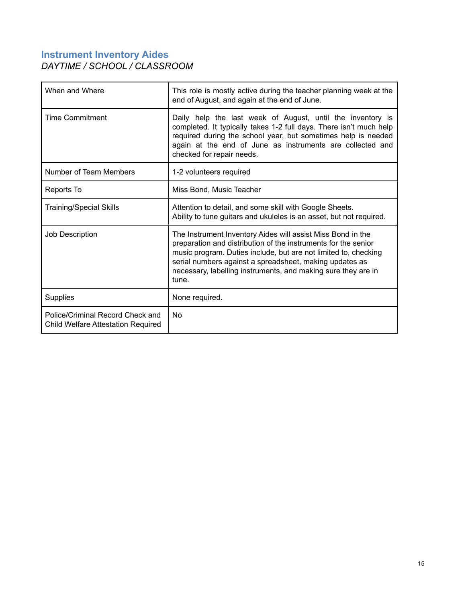### <span id="page-15-0"></span>**Instrument Inventory Aides** *DAYTIME / SCHOOL / CLASSROOM*

| When and Where                                                                | This role is mostly active during the teacher planning week at the<br>end of August, and again at the end of June.                                                                                                                                                                                                                    |
|-------------------------------------------------------------------------------|---------------------------------------------------------------------------------------------------------------------------------------------------------------------------------------------------------------------------------------------------------------------------------------------------------------------------------------|
| <b>Time Commitment</b>                                                        | Daily help the last week of August, until the inventory is<br>completed. It typically takes 1-2 full days. There isn't much help<br>required during the school year, but sometimes help is needed<br>again at the end of June as instruments are collected and<br>checked for repair needs.                                           |
| Number of Team Members                                                        | 1-2 volunteers required                                                                                                                                                                                                                                                                                                               |
| Reports To                                                                    | Miss Bond, Music Teacher                                                                                                                                                                                                                                                                                                              |
| <b>Training/Special Skills</b>                                                | Attention to detail, and some skill with Google Sheets.<br>Ability to tune guitars and ukuleles is an asset, but not required.                                                                                                                                                                                                        |
| Job Description                                                               | The Instrument Inventory Aides will assist Miss Bond in the<br>preparation and distribution of the instruments for the senior<br>music program. Duties include, but are not limited to, checking<br>serial numbers against a spreadsheet, making updates as<br>necessary, labelling instruments, and making sure they are in<br>tune. |
| <b>Supplies</b>                                                               | None required.                                                                                                                                                                                                                                                                                                                        |
| Police/Criminal Record Check and<br><b>Child Welfare Attestation Required</b> | <b>No</b>                                                                                                                                                                                                                                                                                                                             |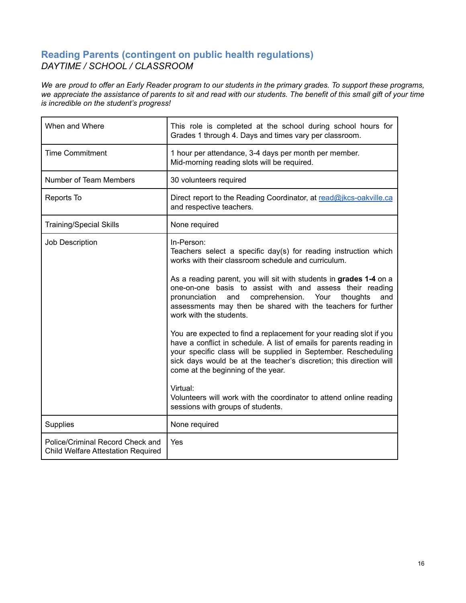### <span id="page-16-0"></span>**Reading Parents (contingent on public health regulations)** *DAYTIME / SCHOOL / CLASSROOM*

We are proud to offer an Early Reader program to our students in the primary grades. To support these programs, we appreciate the assistance of parents to sit and read with our students. The benefit of this small gift of your time *is incredible on the student's progress!*

| When and Where                                                                | This role is completed at the school during school hours for<br>Grades 1 through 4. Days and times vary per classroom.                                                                                                                                                                                                                                                                                                                                                                                        |
|-------------------------------------------------------------------------------|---------------------------------------------------------------------------------------------------------------------------------------------------------------------------------------------------------------------------------------------------------------------------------------------------------------------------------------------------------------------------------------------------------------------------------------------------------------------------------------------------------------|
| <b>Time Commitment</b>                                                        | 1 hour per attendance, 3-4 days per month per member.<br>Mid-morning reading slots will be required.                                                                                                                                                                                                                                                                                                                                                                                                          |
| Number of Team Members                                                        | 30 volunteers required                                                                                                                                                                                                                                                                                                                                                                                                                                                                                        |
| Reports To                                                                    | Direct report to the Reading Coordinator, at read@jkcs-oakville.ca<br>and respective teachers.                                                                                                                                                                                                                                                                                                                                                                                                                |
| <b>Training/Special Skills</b>                                                | None required                                                                                                                                                                                                                                                                                                                                                                                                                                                                                                 |
| Job Description                                                               | In-Person:<br>Teachers select a specific day(s) for reading instruction which<br>works with their classroom schedule and curriculum.<br>As a reading parent, you will sit with students in grades 1-4 on a<br>one-on-one basis to assist with and assess their reading<br>comprehension.<br>thoughts<br>pronunciation<br>and<br>Your<br>and<br>assessments may then be shared with the teachers for further<br>work with the students.<br>You are expected to find a replacement for your reading slot if you |
|                                                                               | have a conflict in schedule. A list of emails for parents reading in<br>your specific class will be supplied in September. Rescheduling<br>sick days would be at the teacher's discretion; this direction will<br>come at the beginning of the year.<br>Virtual:<br>Volunteers will work with the coordinator to attend online reading<br>sessions with groups of students.                                                                                                                                   |
| Supplies                                                                      | None required                                                                                                                                                                                                                                                                                                                                                                                                                                                                                                 |
| Police/Criminal Record Check and<br><b>Child Welfare Attestation Required</b> | Yes                                                                                                                                                                                                                                                                                                                                                                                                                                                                                                           |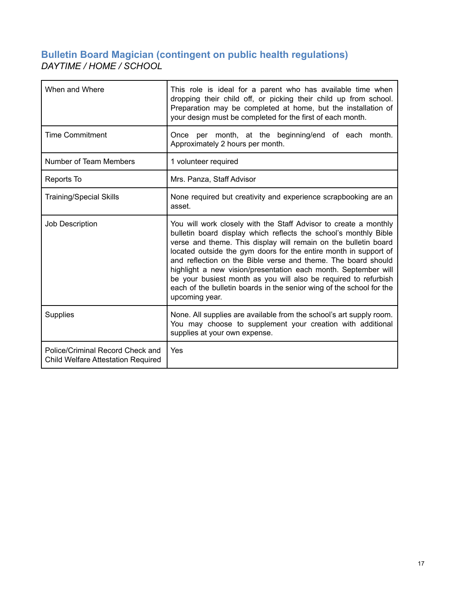### <span id="page-17-0"></span>**Bulletin Board Magician (contingent on public health regulations)** *DAYTIME / HOME / SCHOOL*

| When and Where                                                                | This role is ideal for a parent who has available time when<br>dropping their child off, or picking their child up from school.<br>Preparation may be completed at home, but the installation of<br>your design must be completed for the first of each month.                                                                                                                                                                                                                                                                                                              |
|-------------------------------------------------------------------------------|-----------------------------------------------------------------------------------------------------------------------------------------------------------------------------------------------------------------------------------------------------------------------------------------------------------------------------------------------------------------------------------------------------------------------------------------------------------------------------------------------------------------------------------------------------------------------------|
| <b>Time Commitment</b>                                                        | Once per month, at the beginning/end of each month.<br>Approximately 2 hours per month.                                                                                                                                                                                                                                                                                                                                                                                                                                                                                     |
| Number of Team Members                                                        | 1 volunteer required                                                                                                                                                                                                                                                                                                                                                                                                                                                                                                                                                        |
| Reports To                                                                    | Mrs. Panza, Staff Advisor                                                                                                                                                                                                                                                                                                                                                                                                                                                                                                                                                   |
| <b>Training/Special Skills</b>                                                | None required but creativity and experience scrapbooking are an<br>asset.                                                                                                                                                                                                                                                                                                                                                                                                                                                                                                   |
| Job Description                                                               | You will work closely with the Staff Advisor to create a monthly<br>bulletin board display which reflects the school's monthly Bible<br>verse and theme. This display will remain on the bulletin board<br>located outside the gym doors for the entire month in support of<br>and reflection on the Bible verse and theme. The board should<br>highlight a new vision/presentation each month. September will<br>be your busiest month as you will also be required to refurbish<br>each of the bulletin boards in the senior wing of the school for the<br>upcoming year. |
| <b>Supplies</b>                                                               | None. All supplies are available from the school's art supply room.<br>You may choose to supplement your creation with additional<br>supplies at your own expense.                                                                                                                                                                                                                                                                                                                                                                                                          |
| Police/Criminal Record Check and<br><b>Child Welfare Attestation Required</b> | Yes                                                                                                                                                                                                                                                                                                                                                                                                                                                                                                                                                                         |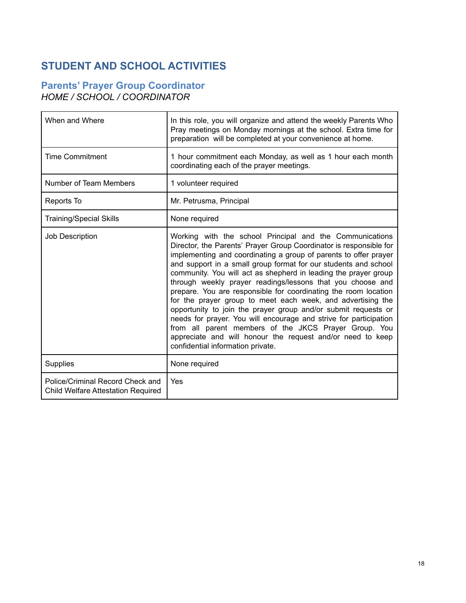# <span id="page-18-0"></span>**STUDENT AND SCHOOL ACTIVITIES**

### <span id="page-18-1"></span>**Parents' Prayer Group Coordinator** *HOME / SCHOOL / COORDINATOR*

| When and Where                                                         | In this role, you will organize and attend the weekly Parents Who<br>Pray meetings on Monday mornings at the school. Extra time for<br>preparation will be completed at your convenience at home.                                                                                                                                                                                                                                                                                                                                                                                                                                                                                                                                                                                                                                           |
|------------------------------------------------------------------------|---------------------------------------------------------------------------------------------------------------------------------------------------------------------------------------------------------------------------------------------------------------------------------------------------------------------------------------------------------------------------------------------------------------------------------------------------------------------------------------------------------------------------------------------------------------------------------------------------------------------------------------------------------------------------------------------------------------------------------------------------------------------------------------------------------------------------------------------|
| <b>Time Commitment</b>                                                 | 1 hour commitment each Monday, as well as 1 hour each month<br>coordinating each of the prayer meetings.                                                                                                                                                                                                                                                                                                                                                                                                                                                                                                                                                                                                                                                                                                                                    |
| Number of Team Members                                                 | 1 volunteer required                                                                                                                                                                                                                                                                                                                                                                                                                                                                                                                                                                                                                                                                                                                                                                                                                        |
| Reports To                                                             | Mr. Petrusma, Principal                                                                                                                                                                                                                                                                                                                                                                                                                                                                                                                                                                                                                                                                                                                                                                                                                     |
| <b>Training/Special Skills</b>                                         | None required                                                                                                                                                                                                                                                                                                                                                                                                                                                                                                                                                                                                                                                                                                                                                                                                                               |
| Job Description                                                        | Working with the school Principal and the Communications<br>Director, the Parents' Prayer Group Coordinator is responsible for<br>implementing and coordinating a group of parents to offer prayer<br>and support in a small group format for our students and school<br>community. You will act as shepherd in leading the prayer group<br>through weekly prayer readings/lessons that you choose and<br>prepare. You are responsible for coordinating the room location<br>for the prayer group to meet each week, and advertising the<br>opportunity to join the prayer group and/or submit requests or<br>needs for prayer. You will encourage and strive for participation<br>from all parent members of the JKCS Prayer Group. You<br>appreciate and will honour the request and/or need to keep<br>confidential information private. |
| <b>Supplies</b>                                                        | None required                                                                                                                                                                                                                                                                                                                                                                                                                                                                                                                                                                                                                                                                                                                                                                                                                               |
| Police/Criminal Record Check and<br>Child Welfare Attestation Required | Yes                                                                                                                                                                                                                                                                                                                                                                                                                                                                                                                                                                                                                                                                                                                                                                                                                                         |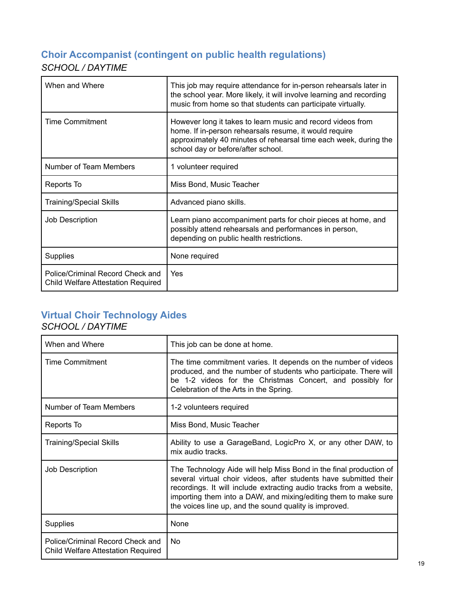# <span id="page-19-0"></span>**Choir Accompanist (contingent on public health regulations)** *SCHOOL / DAYTIME*

| When and Where                                                                | This job may require attendance for in-person rehearsals later in<br>the school year. More likely, it will involve learning and recording<br>music from home so that students can participate virtually.                        |
|-------------------------------------------------------------------------------|---------------------------------------------------------------------------------------------------------------------------------------------------------------------------------------------------------------------------------|
| Time Commitment                                                               | However long it takes to learn music and record videos from<br>home. If in-person rehearsals resume, it would require<br>approximately 40 minutes of rehearsal time each week, during the<br>school day or before/after school. |
| Number of Team Members                                                        | 1 volunteer required                                                                                                                                                                                                            |
| Reports To                                                                    | Miss Bond, Music Teacher                                                                                                                                                                                                        |
| <b>Training/Special Skills</b>                                                | Advanced piano skills.                                                                                                                                                                                                          |
| <b>Job Description</b>                                                        | Learn piano accompaniment parts for choir pieces at home, and<br>possibly attend rehearsals and performances in person,<br>depending on public health restrictions.                                                             |
| <b>Supplies</b>                                                               | None required                                                                                                                                                                                                                   |
| Police/Criminal Record Check and<br><b>Child Welfare Attestation Required</b> | Yes                                                                                                                                                                                                                             |

# <span id="page-19-1"></span>**Virtual Choir Technology Aides**

# *SCHOOL / DAYTIME*

| When and Where                                                                | This job can be done at home.                                                                                                                                                                                                                                                                                                               |
|-------------------------------------------------------------------------------|---------------------------------------------------------------------------------------------------------------------------------------------------------------------------------------------------------------------------------------------------------------------------------------------------------------------------------------------|
| <b>Time Commitment</b>                                                        | The time commitment varies. It depends on the number of videos<br>produced, and the number of students who participate. There will<br>be 1-2 videos for the Christmas Concert, and possibly for<br>Celebration of the Arts in the Spring.                                                                                                   |
| Number of Team Members                                                        | 1-2 volunteers required                                                                                                                                                                                                                                                                                                                     |
| Reports To                                                                    | Miss Bond, Music Teacher                                                                                                                                                                                                                                                                                                                    |
| <b>Training/Special Skills</b>                                                | Ability to use a GarageBand, LogicPro X, or any other DAW, to<br>mix audio tracks.                                                                                                                                                                                                                                                          |
| Job Description                                                               | The Technology Aide will help Miss Bond in the final production of<br>several virtual choir videos, after students have submitted their<br>recordings. It will include extracting audio tracks from a website,<br>importing them into a DAW, and mixing/editing them to make sure<br>the voices line up, and the sound quality is improved. |
| <b>Supplies</b>                                                               | None                                                                                                                                                                                                                                                                                                                                        |
| Police/Criminal Record Check and<br><b>Child Welfare Attestation Required</b> | No                                                                                                                                                                                                                                                                                                                                          |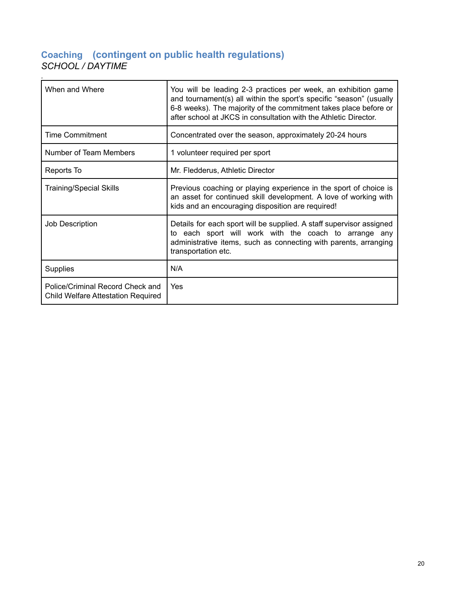### <span id="page-20-0"></span>**Coaching (contingent on public health regulations)** *SCHOOL / DAYTIME*

| When and Where                                                         | You will be leading 2-3 practices per week, an exhibition game<br>and tournament(s) all within the sport's specific "season" (usually<br>6-8 weeks). The majority of the commitment takes place before or<br>after school at JKCS in consultation with the Athletic Director. |
|------------------------------------------------------------------------|-------------------------------------------------------------------------------------------------------------------------------------------------------------------------------------------------------------------------------------------------------------------------------|
| <b>Time Commitment</b>                                                 | Concentrated over the season, approximately 20-24 hours                                                                                                                                                                                                                       |
| Number of Team Members                                                 | 1 volunteer required per sport                                                                                                                                                                                                                                                |
| Reports To                                                             | Mr. Fledderus, Athletic Director                                                                                                                                                                                                                                              |
| <b>Training/Special Skills</b>                                         | Previous coaching or playing experience in the sport of choice is<br>an asset for continued skill development. A love of working with<br>kids and an encouraging disposition are required!                                                                                    |
| <b>Job Description</b>                                                 | Details for each sport will be supplied. A staff supervisor assigned<br>to each sport will work with the coach to arrange any<br>administrative items, such as connecting with parents, arranging<br>transportation etc.                                                      |
| Supplies                                                               | N/A                                                                                                                                                                                                                                                                           |
| Police/Criminal Record Check and<br>Child Welfare Attestation Required | Yes                                                                                                                                                                                                                                                                           |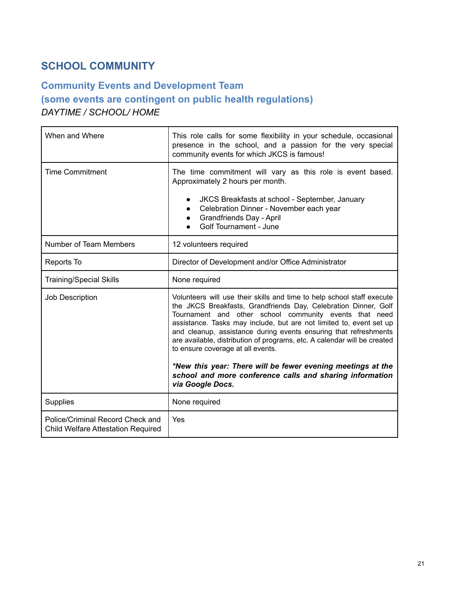# <span id="page-21-0"></span>**SCHOOL COMMUNITY**

# <span id="page-21-1"></span>**Community Events and Development Team (some events are contingent on public health regulations)** *DAYTIME / SCHOOL/ HOME*

| When and Where                                                                | This role calls for some flexibility in your schedule, occasional<br>presence in the school, and a passion for the very special<br>community events for which JKCS is famous!                                                                                                                                                                                                                                                                                                                                                                                                                                  |
|-------------------------------------------------------------------------------|----------------------------------------------------------------------------------------------------------------------------------------------------------------------------------------------------------------------------------------------------------------------------------------------------------------------------------------------------------------------------------------------------------------------------------------------------------------------------------------------------------------------------------------------------------------------------------------------------------------|
| <b>Time Commitment</b>                                                        | The time commitment will vary as this role is event based.<br>Approximately 2 hours per month.<br>JKCS Breakfasts at school - September, January<br>Celebration Dinner - November each year<br>Grandfriends Day - April<br>Golf Tournament - June                                                                                                                                                                                                                                                                                                                                                              |
| Number of Team Members                                                        | 12 volunteers required                                                                                                                                                                                                                                                                                                                                                                                                                                                                                                                                                                                         |
| Reports To                                                                    | Director of Development and/or Office Administrator                                                                                                                                                                                                                                                                                                                                                                                                                                                                                                                                                            |
| <b>Training/Special Skills</b>                                                | None required                                                                                                                                                                                                                                                                                                                                                                                                                                                                                                                                                                                                  |
| Job Description                                                               | Volunteers will use their skills and time to help school staff execute<br>the JKCS Breakfasts, Grandfriends Day, Celebration Dinner, Golf<br>Tournament and other school community events that need<br>assistance. Tasks may include, but are not limited to, event set up<br>and cleanup, assistance during events ensuring that refreshments<br>are available, distribution of programs, etc. A calendar will be created<br>to ensure coverage at all events.<br>*New this year: There will be fewer evening meetings at the<br>school and more conference calls and sharing information<br>via Google Docs. |
|                                                                               |                                                                                                                                                                                                                                                                                                                                                                                                                                                                                                                                                                                                                |
| Supplies                                                                      | None required                                                                                                                                                                                                                                                                                                                                                                                                                                                                                                                                                                                                  |
| Police/Criminal Record Check and<br><b>Child Welfare Attestation Required</b> | Yes                                                                                                                                                                                                                                                                                                                                                                                                                                                                                                                                                                                                            |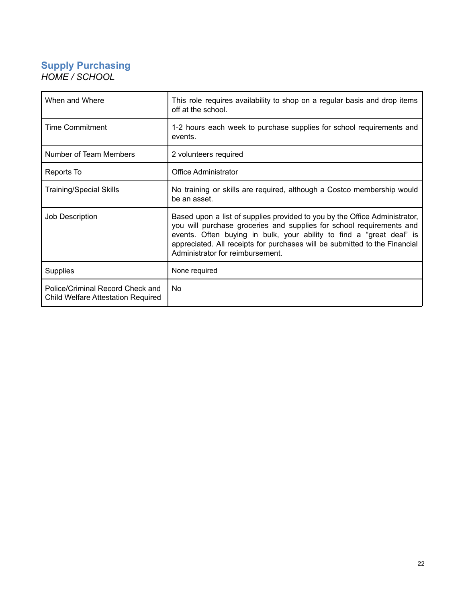### <span id="page-22-0"></span>**Supply Purchasing** *HOME / SCHOOL*

| When and Where                                                                | This role requires availability to shop on a regular basis and drop items<br>off at the school.                                                                                                                                                                                                                                              |
|-------------------------------------------------------------------------------|----------------------------------------------------------------------------------------------------------------------------------------------------------------------------------------------------------------------------------------------------------------------------------------------------------------------------------------------|
| Time Commitment                                                               | 1-2 hours each week to purchase supplies for school requirements and<br>events.                                                                                                                                                                                                                                                              |
| Number of Team Members                                                        | 2 volunteers required                                                                                                                                                                                                                                                                                                                        |
| Reports To                                                                    | Office Administrator                                                                                                                                                                                                                                                                                                                         |
| <b>Training/Special Skills</b>                                                | No training or skills are required, although a Costco membership would<br>be an asset.                                                                                                                                                                                                                                                       |
| Job Description                                                               | Based upon a list of supplies provided to you by the Office Administrator,<br>you will purchase groceries and supplies for school requirements and<br>events. Often buying in bulk, your ability to find a "great deal" is<br>appreciated. All receipts for purchases will be submitted to the Financial<br>Administrator for reimbursement. |
| <b>Supplies</b>                                                               | None required                                                                                                                                                                                                                                                                                                                                |
| Police/Criminal Record Check and<br><b>Child Welfare Attestation Required</b> | No                                                                                                                                                                                                                                                                                                                                           |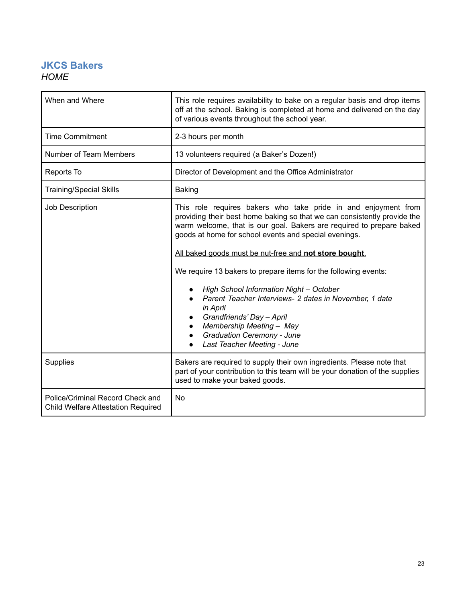### <span id="page-23-0"></span>**JKCS Bakers** *HOME*

| When and Where                                                                | This role requires availability to bake on a regular basis and drop items<br>off at the school. Baking is completed at home and delivered on the day<br>of various events throughout the school year.                                                                                                                                                                                                                                                                                                                                                                                                                                                                                                |
|-------------------------------------------------------------------------------|------------------------------------------------------------------------------------------------------------------------------------------------------------------------------------------------------------------------------------------------------------------------------------------------------------------------------------------------------------------------------------------------------------------------------------------------------------------------------------------------------------------------------------------------------------------------------------------------------------------------------------------------------------------------------------------------------|
| <b>Time Commitment</b>                                                        | 2-3 hours per month                                                                                                                                                                                                                                                                                                                                                                                                                                                                                                                                                                                                                                                                                  |
| Number of Team Members                                                        | 13 volunteers required (a Baker's Dozen!)                                                                                                                                                                                                                                                                                                                                                                                                                                                                                                                                                                                                                                                            |
| Reports To                                                                    | Director of Development and the Office Administrator                                                                                                                                                                                                                                                                                                                                                                                                                                                                                                                                                                                                                                                 |
| <b>Training/Special Skills</b>                                                | <b>Baking</b>                                                                                                                                                                                                                                                                                                                                                                                                                                                                                                                                                                                                                                                                                        |
| Job Description                                                               | This role requires bakers who take pride in and enjoyment from<br>providing their best home baking so that we can consistently provide the<br>warm welcome, that is our goal. Bakers are required to prepare baked<br>goods at home for school events and special evenings.<br>All baked goods must be nut-free and not store bought.<br>We require 13 bakers to prepare items for the following events:<br><b>High School Information Night - October</b><br>Parent Teacher Interviews- 2 dates in November, 1 date<br>in April<br>Grandfriends' Day - April<br>$\bullet$<br>Membership Meeting - May<br>$\bullet$<br><b>Graduation Ceremony - June</b><br>$\bullet$<br>Last Teacher Meeting - June |
| Supplies                                                                      | Bakers are required to supply their own ingredients. Please note that<br>part of your contribution to this team will be your donation of the supplies<br>used to make your baked goods.                                                                                                                                                                                                                                                                                                                                                                                                                                                                                                              |
| Police/Criminal Record Check and<br><b>Child Welfare Attestation Required</b> | <b>No</b>                                                                                                                                                                                                                                                                                                                                                                                                                                                                                                                                                                                                                                                                                            |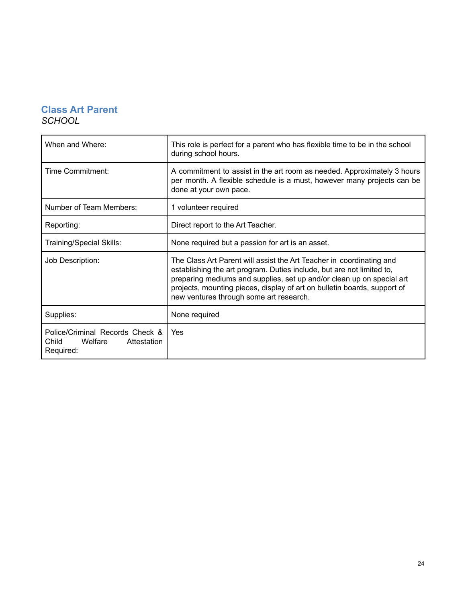### <span id="page-24-0"></span>**Class Art Parent** *SCHOOL*

| When and Where:                                                                 | This role is perfect for a parent who has flexible time to be in the school<br>during school hours.                                                                                                                                                                                                                                           |
|---------------------------------------------------------------------------------|-----------------------------------------------------------------------------------------------------------------------------------------------------------------------------------------------------------------------------------------------------------------------------------------------------------------------------------------------|
| Time Commitment:                                                                | A commitment to assist in the art room as needed. Approximately 3 hours<br>per month. A flexible schedule is a must, however many projects can be<br>done at your own pace.                                                                                                                                                                   |
| Number of Team Members:                                                         | 1 volunteer required                                                                                                                                                                                                                                                                                                                          |
| Reporting:                                                                      | Direct report to the Art Teacher.                                                                                                                                                                                                                                                                                                             |
| Training/Special Skills:                                                        | None required but a passion for art is an asset.                                                                                                                                                                                                                                                                                              |
| Job Description:                                                                | The Class Art Parent will assist the Art Teacher in coordinating and<br>establishing the art program. Duties include, but are not limited to,<br>preparing mediums and supplies, set up and/or clean up on special art<br>projects, mounting pieces, display of art on bulletin boards, support of<br>new ventures through some art research. |
| Supplies:                                                                       | None required                                                                                                                                                                                                                                                                                                                                 |
| Police/Criminal Records Check &<br>Child<br>Welfare<br>Attestation<br>Required: | Yes                                                                                                                                                                                                                                                                                                                                           |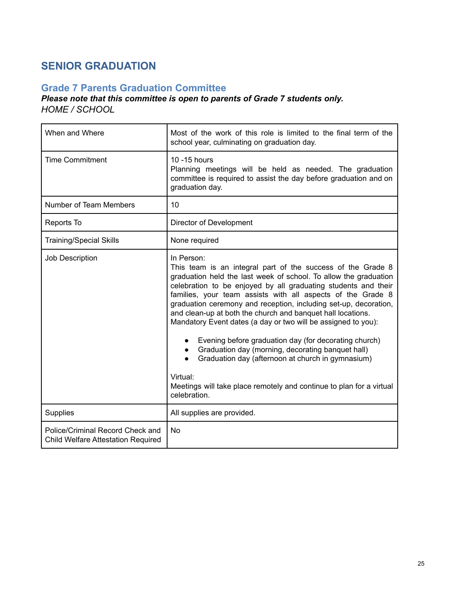# <span id="page-25-0"></span>**SENIOR GRADUATION**

### <span id="page-25-1"></span>**Grade 7 Parents Graduation Committee**

### *Please note that this committee is open to parents of Grade 7 students only. HOME / SCHOOL*

| When and Where                                                                | Most of the work of this role is limited to the final term of the<br>school year, culminating on graduation day.                                                                                                                                                                                                                                                                                                                                                                                                                                                                                                                                                                                                                                                                    |
|-------------------------------------------------------------------------------|-------------------------------------------------------------------------------------------------------------------------------------------------------------------------------------------------------------------------------------------------------------------------------------------------------------------------------------------------------------------------------------------------------------------------------------------------------------------------------------------------------------------------------------------------------------------------------------------------------------------------------------------------------------------------------------------------------------------------------------------------------------------------------------|
| <b>Time Commitment</b>                                                        | 10 - 15 hours<br>Planning meetings will be held as needed. The graduation<br>committee is required to assist the day before graduation and on<br>graduation day.                                                                                                                                                                                                                                                                                                                                                                                                                                                                                                                                                                                                                    |
| Number of Team Members                                                        | 10                                                                                                                                                                                                                                                                                                                                                                                                                                                                                                                                                                                                                                                                                                                                                                                  |
| Reports To                                                                    | Director of Development                                                                                                                                                                                                                                                                                                                                                                                                                                                                                                                                                                                                                                                                                                                                                             |
| <b>Training/Special Skills</b>                                                | None required                                                                                                                                                                                                                                                                                                                                                                                                                                                                                                                                                                                                                                                                                                                                                                       |
| Job Description                                                               | In Person:<br>This team is an integral part of the success of the Grade 8<br>graduation held the last week of school. To allow the graduation<br>celebration to be enjoyed by all graduating students and their<br>families, your team assists with all aspects of the Grade 8<br>graduation ceremony and reception, including set-up, decoration,<br>and clean-up at both the church and banquet hall locations.<br>Mandatory Event dates (a day or two will be assigned to you):<br>Evening before graduation day (for decorating church)<br>$\bullet$<br>Graduation day (morning, decorating banquet hall)<br>$\bullet$<br>Graduation day (afternoon at church in gymnasium)<br>Virtual:<br>Meetings will take place remotely and continue to plan for a virtual<br>celebration. |
| Supplies                                                                      | All supplies are provided.                                                                                                                                                                                                                                                                                                                                                                                                                                                                                                                                                                                                                                                                                                                                                          |
| Police/Criminal Record Check and<br><b>Child Welfare Attestation Required</b> | <b>No</b>                                                                                                                                                                                                                                                                                                                                                                                                                                                                                                                                                                                                                                                                                                                                                                           |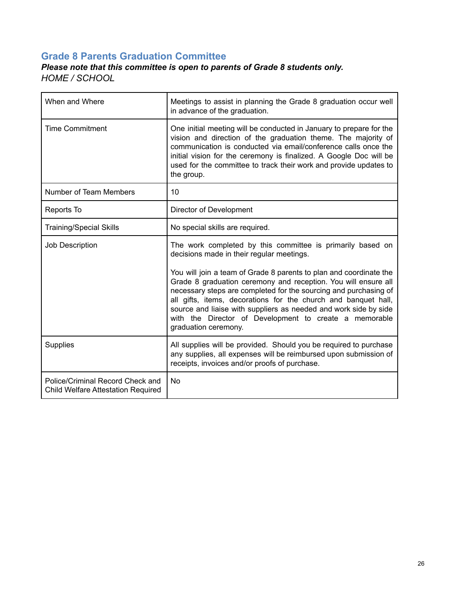### <span id="page-26-0"></span>**Grade 8 Parents Graduation Committee**

### *Please note that this committee is open to parents of Grade 8 students only. HOME / SCHOOL*

| When and Where                                                                | Meetings to assist in planning the Grade 8 graduation occur well<br>in advance of the graduation.                                                                                                                                                                                                                                                               |
|-------------------------------------------------------------------------------|-----------------------------------------------------------------------------------------------------------------------------------------------------------------------------------------------------------------------------------------------------------------------------------------------------------------------------------------------------------------|
| <b>Time Commitment</b>                                                        | One initial meeting will be conducted in January to prepare for the<br>vision and direction of the graduation theme. The majority of<br>communication is conducted via email/conference calls once the<br>initial vision for the ceremony is finalized. A Google Doc will be<br>used for the committee to track their work and provide updates to<br>the group. |
| Number of Team Members                                                        | 10                                                                                                                                                                                                                                                                                                                                                              |
| Reports To                                                                    | Director of Development                                                                                                                                                                                                                                                                                                                                         |
| <b>Training/Special Skills</b>                                                | No special skills are required.                                                                                                                                                                                                                                                                                                                                 |
| Job Description                                                               | The work completed by this committee is primarily based on<br>decisions made in their regular meetings.<br>You will join a team of Grade 8 parents to plan and coordinate the                                                                                                                                                                                   |
|                                                                               | Grade 8 graduation ceremony and reception. You will ensure all<br>necessary steps are completed for the sourcing and purchasing of<br>all gifts, items, decorations for the church and banquet hall,<br>source and liaise with suppliers as needed and work side by side<br>with the Director of Development to create a memorable<br>graduation ceremony.      |
| <b>Supplies</b>                                                               | All supplies will be provided. Should you be required to purchase<br>any supplies, all expenses will be reimbursed upon submission of<br>receipts, invoices and/or proofs of purchase.                                                                                                                                                                          |
| Police/Criminal Record Check and<br><b>Child Welfare Attestation Required</b> | <b>No</b>                                                                                                                                                                                                                                                                                                                                                       |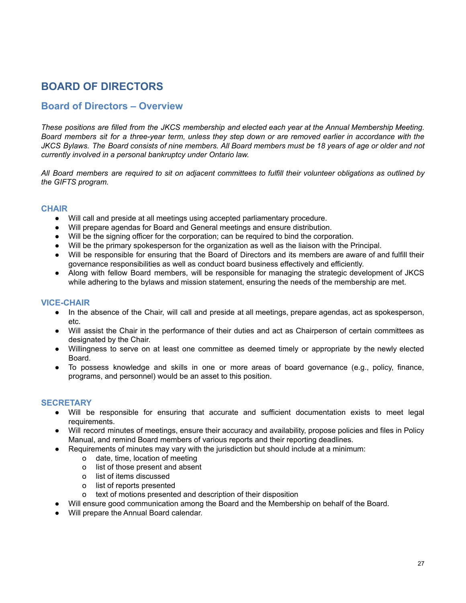# <span id="page-27-0"></span>**BOARD OF DIRECTORS**

### <span id="page-27-1"></span>**Board of Directors – Overview**

These positions are filled from the JKCS membership and elected each year at the Annual Membership Meeting. Board members sit for a three-year term, unless they step down or are removed earlier in accordance with the JKCS Bylaws. The Board consists of nine members. All Board members must be 18 years of age or older and not *currently involved in a personal bankruptcy under Ontario law.*

All Board members are required to sit on adjacent committees to fulfill their volunteer obligations as outlined by *the GIFTS program.*

### <span id="page-27-2"></span>**CHAIR**

- Will call and preside at all meetings using accepted parliamentary procedure.
- Will prepare agendas for Board and General meetings and ensure distribution.
- Will be the signing officer for the corporation; can be required to bind the corporation.
- Will be the primary spokesperson for the organization as well as the liaison with the Principal.
- Will be responsible for ensuring that the Board of Directors and its members are aware of and fulfill their governance responsibilities as well as conduct board business effectively and efficiently.
- Along with fellow Board members, will be responsible for managing the strategic development of JKCS while adhering to the bylaws and mission statement, ensuring the needs of the membership are met.

#### <span id="page-27-3"></span>**VICE-CHAIR**

- In the absence of the Chair, will call and preside at all meetings, prepare agendas, act as spokesperson, etc.
- Will assist the Chair in the performance of their duties and act as Chairperson of certain committees as designated by the Chair.
- Willingness to serve on at least one committee as deemed timely or appropriate by the newly elected Board.
- To possess knowledge and skills in one or more areas of board governance (e.g., policy, finance, programs, and personnel) would be an asset to this position.

### <span id="page-27-4"></span>**SECRETARY**

- Will be responsible for ensuring that accurate and sufficient documentation exists to meet legal requirements.
- Will record minutes of meetings, ensure their accuracy and availability, propose policies and files in Policy Manual, and remind Board members of various reports and their reporting deadlines.
- Requirements of minutes may vary with the jurisdiction but should include at a minimum:
	- o date, time, location of meeting
	- o list of those present and absent
	- o list of items discussed
	- o list of reports presented
	- o text of motions presented and description of their disposition
- Will ensure good communication among the Board and the Membership on behalf of the Board.
- Will prepare the Annual Board calendar.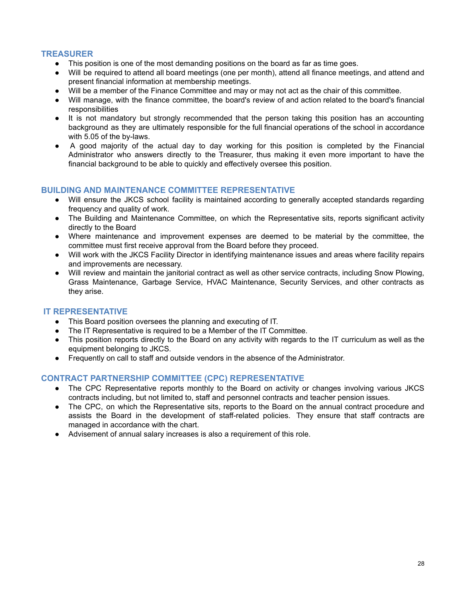### <span id="page-28-0"></span>**TREASURER**

- This position is one of the most demanding positions on the board as far as time goes.
- Will be required to attend all board meetings (one per month), attend all finance meetings, and attend and present financial information at membership meetings.
- Will be a member of the Finance Committee and may or may not act as the chair of this committee.
- Will manage, with the finance committee, the board's review of and action related to the board's financial responsibilities
- It is not mandatory but strongly recommended that the person taking this position has an accounting background as they are ultimately responsible for the full financial operations of the school in accordance with 5.05 of the by-laws.
- A good majority of the actual day to day working for this position is completed by the Financial Administrator who answers directly to the Treasurer, thus making it even more important to have the financial background to be able to quickly and effectively oversee this position.

### <span id="page-28-1"></span>**BUILDING AND MAINTENANCE COMMITTEE REPRESENTATIVE**

- Will ensure the JKCS school facility is maintained according to generally accepted standards regarding frequency and quality of work.
- The Building and Maintenance Committee, on which the Representative sits, reports significant activity directly to the Board
- Where maintenance and improvement expenses are deemed to be material by the committee, the committee must first receive approval from the Board before they proceed.
- Will work with the JKCS Facility Director in identifying maintenance issues and areas where facility repairs and improvements are necessary.
- Will review and maintain the janitorial contract as well as other service contracts, including Snow Plowing, Grass Maintenance, Garbage Service, HVAC Maintenance, Security Services, and other contracts as they arise.

### <span id="page-28-2"></span>**IT REPRESENTATIVE**

- This Board position oversees the planning and executing of IT.
- The IT Representative is required to be a Member of the IT Committee.
- This position reports directly to the Board on any activity with regards to the IT curriculum as well as the equipment belonging to JKCS.
- Frequently on call to staff and outside vendors in the absence of the Administrator.

### <span id="page-28-3"></span>**CONTRACT PARTNERSHIP COMMITTEE (CPC) REPRESENTATIVE**

- The CPC Representative reports monthly to the Board on activity or changes involving various JKCS contracts including, but not limited to, staff and personnel contracts and teacher pension issues.
- The CPC, on which the Representative sits, reports to the Board on the annual contract procedure and assists the Board in the development of staff-related policies. They ensure that staff contracts are managed in accordance with the chart.
- Advisement of annual salary increases is also a requirement of this role.